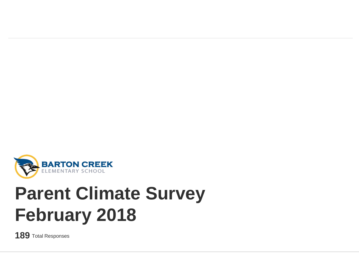

# **Parent Climate Survey February 2018**

**189** Total Responses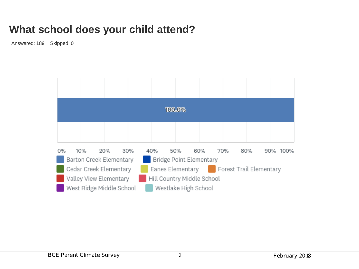### **What school does your child attend?**

Answered: 189 Skipped: 0

|                          | 100.0%                                             |                        |     |     |                                             |                            |     |     |     |     |             |  |
|--------------------------|----------------------------------------------------|------------------------|-----|-----|---------------------------------------------|----------------------------|-----|-----|-----|-----|-------------|--|
|                          |                                                    |                        |     |     |                                             |                            |     |     |     |     |             |  |
| 0%                       |                                                    | 10%                    | 20% | 30% |                                             | 40%                        | 50% | 60% | 70% | 80% | 100%<br>90% |  |
|                          | Barton Creek Elementary<br>Bridge Point Elementary |                        |     |     |                                             |                            |     |     |     |     |             |  |
| Cedar Creek Elementary   |                                                    |                        |     |     | Eanes Elementary<br>Forest Trail Elementary |                            |     |     |     |     |             |  |
|                          |                                                    | Valley View Elementary |     |     |                                             | Hill Country Middle School |     |     |     |     |             |  |
| West Ridge Middle School |                                                    |                        |     |     |                                             | Westlake High School       |     |     |     |     |             |  |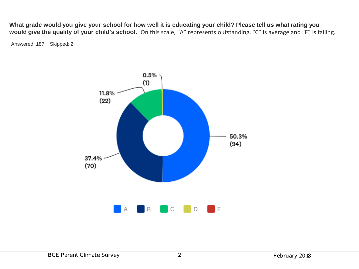**What grade would you give your school for how well it is educating your child? Please tell us what rating you would give the quality of your child's school.** On this scale, "A" represents outstanding, "C" is average and "F" is failing.

Answered: 187 Skipped: 2

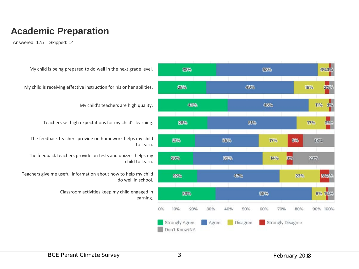#### **Academic Preparation**

Answered: 175 Skipped: 14



My child is being prepared to do well in the next grade level.

My child is receiving effective instruction for his or her abilities.

My child's teachers are high quality.

Teachers set high expectations for my child's learning.

The feedback teachers provide on homework helps my child to learn.

The feedback teachers provide on tests and quizzes helps my child to learn.

Teachers give me useful information about how to help my child do well in school.

> Classroom activities keep my child engaged in learning.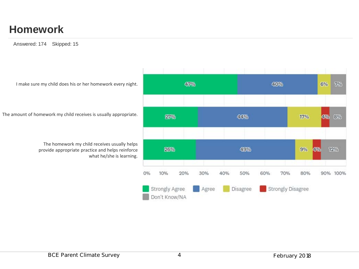### **Homework**

Answered: 174 Skipped: 15

I make sure my child does his or her homework every night.

The amount of homework my child receives is usually appropriate.

The homework my child receives usually helps provide appropriate practice and helps reinforce what he/she is learning.

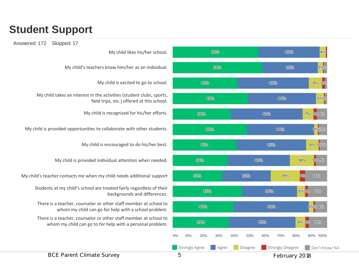### **Student Support**





My child's teachers know him/her as an individual.

My child is excited to go to school.

My child takes an interest in the activities (student clubs, sports, field trips, etc.) offered at this school.

My child is recognized for his/her efforts.

My child is provided opportunities to collaborate with other students.

My child is encouraged to do his/her best.

My child is provided individual attention when needed.

My child's teacher contacts me when my child needs additional support

Students at my child's school are treated fairly regardless of their backgrounds and differences.

There is a teacher, counselor or other staff member at school to whom my child can go for help with a school problem.

There is a teacher, counselor or other staff member at school to whom my child can go to for help with a personal problem.

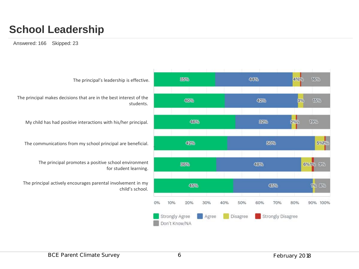### **School Leadership**

Answered: 166 Skipped: 23

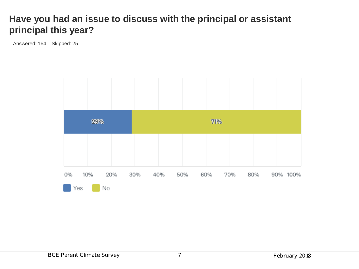#### **Have you had an issue to discuss with the principal or assistant principal this year?**

Answered: 164 Skipped: 25

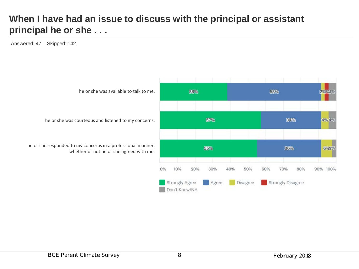#### **When I have had an issue to discuss with the principal or assistant principal he or she . . .**

Answered: 47 Skipped: 142

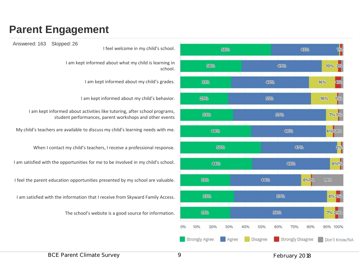### **Parent Engagement**

Answered: 163 Skipped: 26



I feel welcome in my child's school.

I am kept informed about what my child is learning in school.

I am kept informed about my child's grades.

I am kept informed about my child's behavior.

I am kept informed about activities like tutoring, after school programs, student performances, parent workshops and other events

My child's teachers are available to discuss my child's learning needs with me.

When I contact my child's teachers, I receive a professional response.

I am satisfied with the opportunities for me to be involved in my child's school.

I feel the parent education opportunities presented by my school are valuable.

I am satisfied with the information that I receive from Skyward Family Access.

The school's website is a good source for information.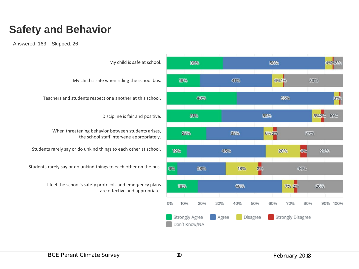## **Safety and Behavior**

#### Answered: 163 Skipped: 26

My child is safe at school. 32% My child is safe when riding the school bus. 19% Teachers and students respect one another at this school. 31% Discipline is fair and positive. When threatening behavior between students arises, 23% the school staff intervene appropriately. Students rarely say or do unkind things to each other at school. 12% Students rarely say or do unkind things to each other on the bus. 6% I feel the school's safety protocols and emergency plans 18% are effective and appropriate.  $O\%$ 10%

58% 4%%5% 6%1% 41% 33% 40% 55% 3%% 52% 5%2% 10% 33% 6%2% 37% 45% 20% 4% 20% 28% 18%  $2%$ 46% 48% 7% 2% 26% 20% 30% 40% 50% 70% 80% 90% 100% 60% Disagree Strongly Disagree Strongly Agree Agree Don't Know/NA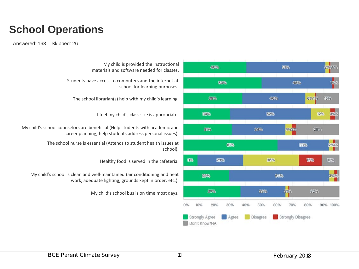### **School Operations**

Answered: 163 Skipped: 26



My child is provided the instructional materials and software needed for classes.

Students have access to computers and the internet at school for learning purposes.

The school librarian(s) help with my child's learning.

I feel my child's class size is appropriate.

My child's school counselors are beneficial (Help students with academic and career planning; help students address personal issues).

> The school nurse is essential (Attends to student health issues at school).

> > Healthy food is served in the cafeteria.

My child's school is clean and well-maintained (air conditioning and heat work, adequate lighting, grounds kept in order, etc.).

My child's school bus is on time most days.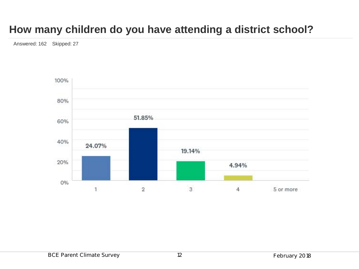### **How many children do you have attending a district school?**

Answered: 162 Skipped: 27

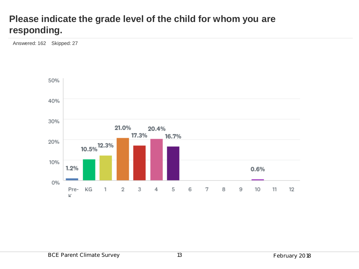#### **Please indicate the grade level of the child for whom you are responding.**

Answered: 162 Skipped: 27

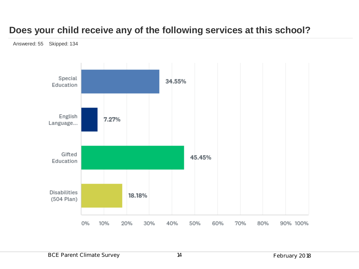#### **Does your child receive any of the following services at this school?**

Answered: 55 Skipped: 134